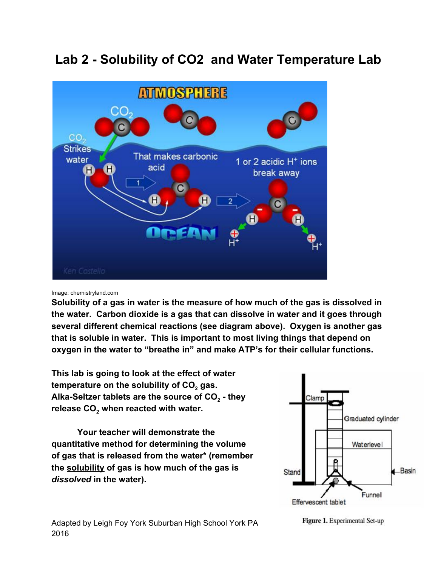# **Lab 2 - Solubility of CO2 and Water Temperature Lab**



#### Image: chemistryland.com

**Solubility of a gas in water is the measure of how much of the gas is dissolved in the water. Carbon dioxide is a gas that can dissolve in water and it goes through several different chemical reactions (see diagram above). Oxygen is another gas that is soluble in water. This is important to most living things that depend on oxygen in the water to "breathe in" and make ATP's for their cellular functions.**

**This lab is going to look at the effect of water temperature on the solubility of CO<sup>2</sup> gas. Alka-Seltzer tablets are the source of CO<sup>2</sup> - they release CO<sup>2</sup> when reacted with water.**

**Your teacher will demonstrate the quantitative method for determining the volume of gas that is released from the water\* (remember the solubility of gas is how much of the gas is** *dissolved* **in the water).**



Figure 1. Experimental Set-up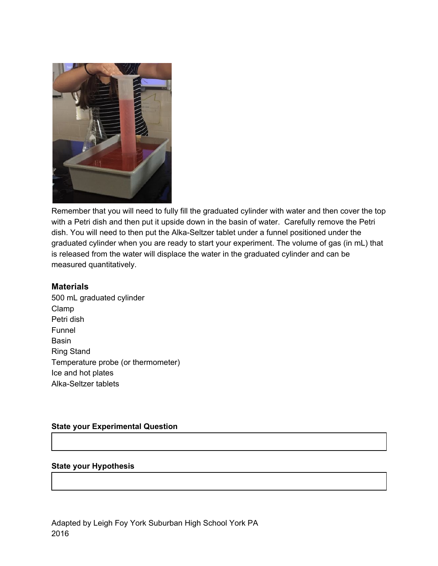

Remember that you will need to fully fill the graduated cylinder with water and then cover the top with a Petri dish and then put it upside down in the basin of water. Carefully remove the Petri dish. You will need to then put the Alka-Seltzer tablet under a funnel positioned under the graduated cylinder when you are ready to start your experiment. The volume of gas (in mL) that is released from the water will displace the water in the graduated cylinder and can be measured quantitatively.

### **Materials**

500 mL graduated cylinder Clamp Petri dish Funnel **Basin** Ring Stand Temperature probe (or thermometer) Ice and hot plates Alka-Seltzer tablets

#### **State your Experimental Question**

#### **State your Hypothesis**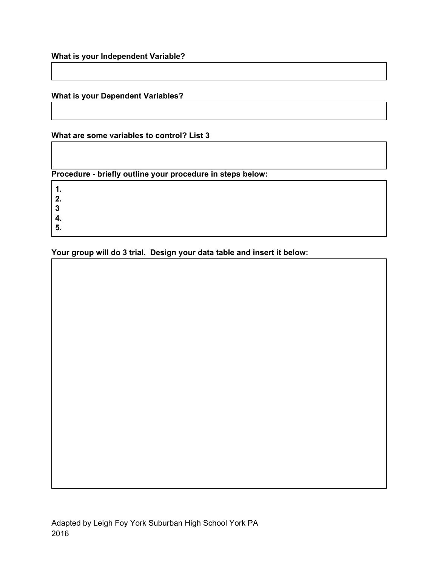## **What is your Dependent Variables?**

#### **What are some variables to control? List 3**

**Procedure - briefly outline your procedure in steps below:**

**1.**

**2.**

**3**

**4.**

**5.**

**Your group will do 3 trial. Design your data table and insert it below:**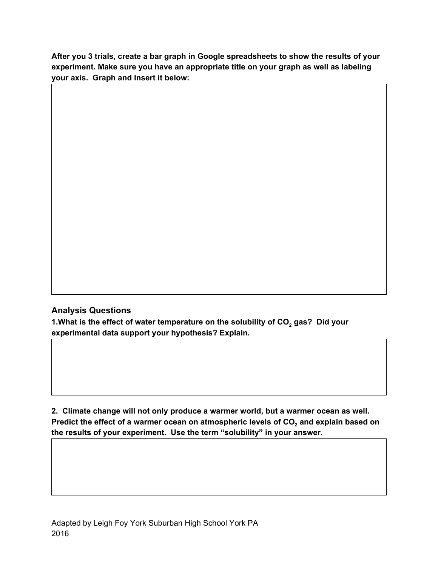**After you 3 trials, create a bar graph in Google spreadsheets to show the results of your experiment. Make sure you have an appropriate title on your graph as well as labeling your axis. Graph and Insert it below:**

## **Analysis Questions**

**1.What is the effect of water temperature on the solubility of CO<sup>2</sup> gas? Did your experimental data support your hypothesis? Explain.**

**2. Climate change will not only produce a warmer world, but a warmer ocean as well. Predict the effect of a warmer ocean on atmospheric levels of CO<sup>2</sup> and explain based on the results of your experiment. Use the term "solubility" in your answer.**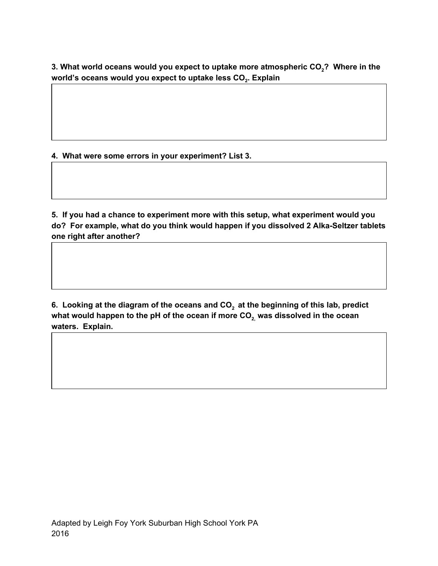**3. What world oceans would you expect to uptake more atmospheric CO<sup>2</sup>? Where in the world's oceans would you expect to uptake less CO<sup>2</sup> . Explain**

**4. What were some errors in your experiment? List 3.**

**5. If you had a chance to experiment more with this setup, what experiment would you do? For example, what do you think would happen if you dissolved 2 Alka-Seltzer tablets one right after another?**

**6. Looking at the diagram of the oceans and CO<sup>2</sup> at the beginning of this lab, predict what would happen to the pH of the ocean if more CO2, was dissolved in the ocean waters. Explain.**